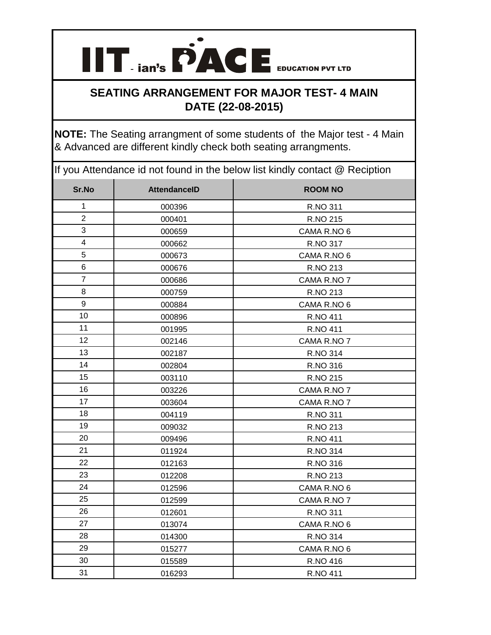

## **SEATING ARRANGEMENT FOR MAJOR TEST- 4 MAIN DATE (22-08-2015)**

**NOTE:** The Seating arrangment of some students of the Major test - 4 Main & Advanced are different kindly check both seating arrangments.

If you Attendance id not found in the below list kindly contact @ Reciption

| Sr.No          | <b>AttendanceID</b> | <b>ROOM NO</b> |
|----------------|---------------------|----------------|
| $\mathbf 1$    | 000396              | R.NO 311       |
| $\overline{c}$ | 000401              | R.NO 215       |
| 3              | 000659              | CAMA R.NO 6    |
| 4              | 000662              | R.NO 317       |
| 5              | 000673              | CAMA R.NO 6    |
| 6              | 000676              | R.NO 213       |
| $\overline{7}$ | 000686              | CAMA R.NO 7    |
| 8              | 000759              | R.NO 213       |
| 9              | 000884              | CAMA R.NO 6    |
| 10             | 000896              | R.NO 411       |
| 11             | 001995              | R.NO 411       |
| 12             | 002146              | CAMA R.NO 7    |
| 13             | 002187              | R.NO 314       |
| 14             | 002804              | R.NO 316       |
| 15             | 003110              | R.NO 215       |
| 16             | 003226              | CAMA R.NO 7    |
| 17             | 003604              | CAMA R.NO 7    |
| 18             | 004119              | R.NO 311       |
| 19             | 009032              | R.NO 213       |
| 20             | 009496              | R.NO 411       |
| 21             | 011924              | R.NO 314       |
| 22             | 012163              | R.NO 316       |
| 23             | 012208              | R.NO 213       |
| 24             | 012596              | CAMA R.NO 6    |
| 25             | 012599              | CAMA R.NO 7    |
| 26             | 012601              | R.NO 311       |
| 27             | 013074              | CAMA R.NO 6    |
| 28             | 014300              | R.NO 314       |
| 29             | 015277              | CAMA R.NO 6    |
| 30             | 015589              | R.NO 416       |
| 31             | 016293              | R.NO 411       |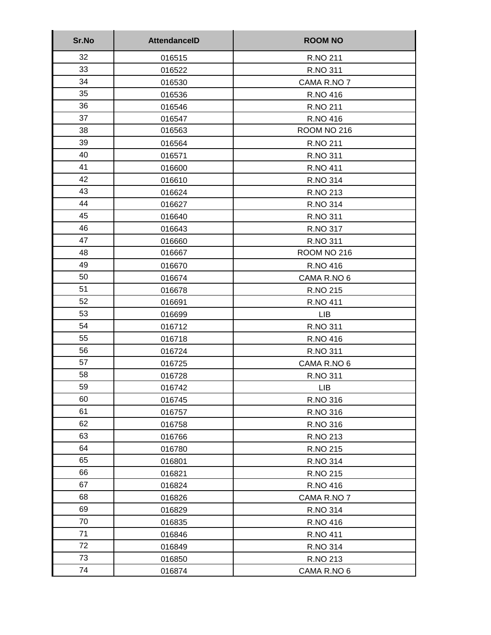| Sr.No | <b>AttendanceID</b> | <b>ROOM NO</b>  |
|-------|---------------------|-----------------|
| 32    | 016515              | R.NO 211        |
| 33    | 016522              | R.NO 311        |
| 34    | 016530              | CAMA R.NO 7     |
| 35    | 016536              | R.NO 416        |
| 36    | 016546              | R.NO 211        |
| 37    | 016547              | R.NO 416        |
| 38    | 016563              | ROOM NO 216     |
| 39    | 016564              | R.NO 211        |
| 40    | 016571              | R.NO 311        |
| 41    | 016600              | <b>R.NO 411</b> |
| 42    | 016610              | R.NO 314        |
| 43    | 016624              | R.NO 213        |
| 44    | 016627              | R.NO 314        |
| 45    | 016640              | R.NO 311        |
| 46    | 016643              | R.NO 317        |
| 47    | 016660              | R.NO 311        |
| 48    | 016667              | ROOM NO 216     |
| 49    | 016670              | R.NO 416        |
| 50    | 016674              | CAMA R.NO 6     |
| 51    | 016678              | R.NO 215        |
| 52    | 016691              | R.NO 411        |
| 53    | 016699              | <b>LIB</b>      |
| 54    | 016712              | R.NO 311        |
| 55    | 016718              | R.NO 416        |
| 56    | 016724              | R.NO 311        |
| 57    | 016725              | CAMA R.NO 6     |
| 58    | 016728              | R.NO 311        |
| 59    | 016742              | <b>LIB</b>      |
| 60    | 016745              | R.NO 316        |
| 61    | 016757              | R.NO 316        |
| 62    | 016758              | R.NO 316        |
| 63    | 016766              | R.NO 213        |
| 64    | 016780              | R.NO 215        |
| 65    | 016801              | R.NO 314        |
| 66    | 016821              | R.NO 215        |
| 67    | 016824              | R.NO 416        |
| 68    | 016826              | CAMA R.NO 7     |
| 69    | 016829              | R.NO 314        |
| 70    | 016835              | R.NO 416        |
| 71    | 016846              | R.NO 411        |
| 72    | 016849              | R.NO 314        |
| 73    | 016850              | R.NO 213        |
| 74    | 016874              | CAMA R.NO 6     |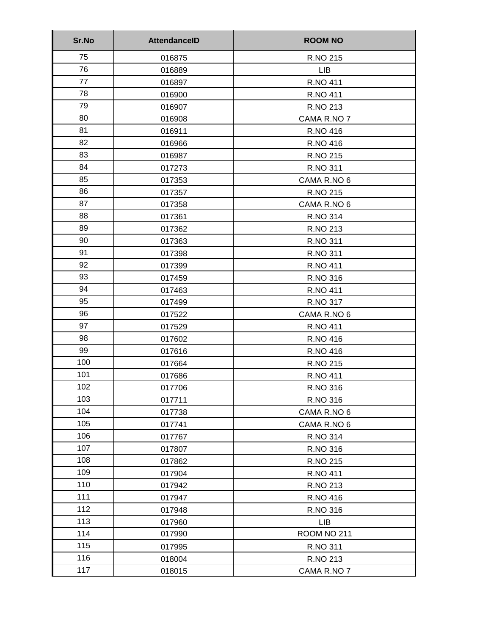| Sr.No | <b>AttendanceID</b> | <b>ROOM NO</b>  |
|-------|---------------------|-----------------|
| 75    | 016875              | R.NO 215        |
| 76    | 016889              | <b>LIB</b>      |
| 77    | 016897              | R.NO 411        |
| 78    | 016900              | R.NO 411        |
| 79    | 016907              | R.NO 213        |
| 80    | 016908              | CAMA R.NO 7     |
| 81    | 016911              | R.NO 416        |
| 82    | 016966              | R.NO 416        |
| 83    | 016987              | R.NO 215        |
| 84    | 017273              | R.NO 311        |
| 85    | 017353              | CAMA R.NO 6     |
| 86    | 017357              | R.NO 215        |
| 87    | 017358              | CAMA R.NO 6     |
| 88    | 017361              | R.NO 314        |
| 89    | 017362              | R.NO 213        |
| 90    | 017363              | R.NO 311        |
| 91    | 017398              | R.NO 311        |
| 92    | 017399              | R.NO 411        |
| 93    | 017459              | R.NO 316        |
| 94    | 017463              | <b>R.NO 411</b> |
| 95    | 017499              | R.NO 317        |
| 96    | 017522              | CAMA R.NO 6     |
| 97    | 017529              | <b>R.NO 411</b> |
| 98    | 017602              | R.NO 416        |
| 99    | 017616              | R.NO 416        |
| 100   | 017664              | R.NO 215        |
| 101   | 017686              | <b>R.NO 411</b> |
| 102   | 017706              | R.NO 316        |
| 103   | 017711              | R.NO 316        |
| 104   | 017738              | CAMA R.NO 6     |
| 105   | 017741              | CAMA R.NO 6     |
| 106   | 017767              | R.NO 314        |
| 107   | 017807              | R.NO 316        |
| 108   | 017862              | R.NO 215        |
| 109   | 017904              | R.NO 411        |
| 110   | 017942              | R.NO 213        |
| 111   | 017947              | R.NO 416        |
| 112   | 017948              | R.NO 316        |
| 113   | 017960              | <b>LIB</b>      |
| 114   | 017990              | ROOM NO 211     |
| 115   | 017995              | R.NO 311        |
| 116   | 018004              | R.NO 213        |
| 117   | 018015              | CAMA R.NO 7     |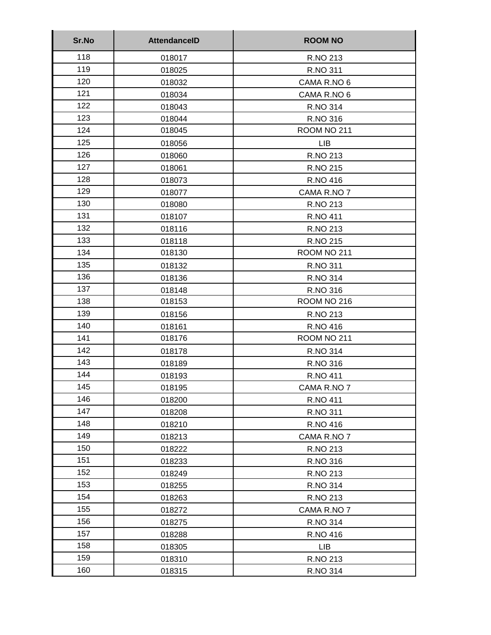| Sr.No | <b>AttendanceID</b> | <b>ROOM NO</b>  |
|-------|---------------------|-----------------|
| 118   | 018017              | R.NO 213        |
| 119   | 018025              | R.NO 311        |
| 120   | 018032              | CAMA R.NO 6     |
| 121   | 018034              | CAMA R.NO 6     |
| 122   | 018043              | R.NO 314        |
| 123   | 018044              | R.NO 316        |
| 124   | 018045              | ROOM NO 211     |
| 125   | 018056              | <b>LIB</b>      |
| 126   | 018060              | R.NO 213        |
| 127   | 018061              | R.NO 215        |
| 128   | 018073              | R.NO 416        |
| 129   | 018077              | CAMA R.NO 7     |
| 130   | 018080              | R.NO 213        |
| 131   | 018107              | <b>R.NO 411</b> |
| 132   | 018116              | R.NO 213        |
| 133   | 018118              | R.NO 215        |
| 134   | 018130              | ROOM NO 211     |
| 135   | 018132              | R.NO 311        |
| 136   | 018136              | R.NO 314        |
| 137   | 018148              | R.NO 316        |
| 138   | 018153              | ROOM NO 216     |
| 139   | 018156              | R.NO 213        |
| 140   | 018161              | R.NO 416        |
| 141   | 018176              | ROOM NO 211     |
| 142   | 018178              | R.NO 314        |
| 143   | 018189              | R.NO 316        |
| 144   | 018193              | <b>R.NO 411</b> |
| 145   | 018195              | CAMA R.NO 7     |
| 146   | 018200              | R.NO 411        |
| 147   | 018208              | R.NO 311        |
| 148   | 018210              | R.NO 416        |
| 149   | 018213              | CAMA R.NO 7     |
| 150   | 018222              | R.NO 213        |
| 151   | 018233              | R.NO 316        |
| 152   | 018249              | R.NO 213        |
| 153   | 018255              | R.NO 314        |
| 154   | 018263              | R.NO 213        |
| 155   | 018272              | CAMA R.NO 7     |
| 156   | 018275              | R.NO 314        |
| 157   | 018288              | R.NO 416        |
| 158   | 018305              | <b>LIB</b>      |
| 159   | 018310              | R.NO 213        |
| 160   | 018315              | R.NO 314        |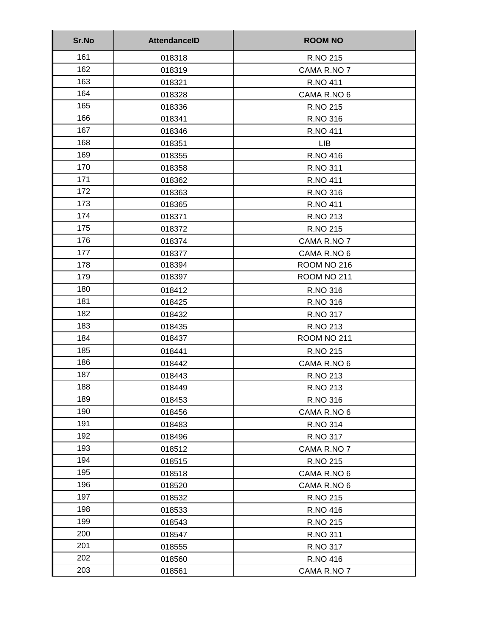| Sr.No | <b>AttendanceID</b> | <b>ROOM NO</b>  |
|-------|---------------------|-----------------|
| 161   | 018318              | R.NO 215        |
| 162   | 018319              | CAMA R.NO 7     |
| 163   | 018321              | <b>R.NO 411</b> |
| 164   | 018328              | CAMA R.NO 6     |
| 165   | 018336              | R.NO 215        |
| 166   | 018341              | R.NO 316        |
| 167   | 018346              | <b>R.NO 411</b> |
| 168   | 018351              | <b>LIB</b>      |
| 169   | 018355              | R.NO 416        |
| 170   | 018358              | R.NO 311        |
| 171   | 018362              | R.NO 411        |
| 172   | 018363              | R.NO 316        |
| 173   | 018365              | <b>R.NO 411</b> |
| 174   | 018371              | R.NO 213        |
| 175   | 018372              | R.NO 215        |
| 176   | 018374              | CAMA R.NO 7     |
| 177   | 018377              | CAMA R.NO 6     |
| 178   | 018394              | ROOM NO 216     |
| 179   | 018397              | ROOM NO 211     |
| 180   | 018412              | R.NO 316        |
| 181   | 018425              | R.NO 316        |
| 182   | 018432              | R.NO 317        |
| 183   | 018435              | R.NO 213        |
| 184   | 018437              | ROOM NO 211     |
| 185   | 018441              | R.NO 215        |
| 186   | 018442              | CAMA R.NO 6     |
| 187   | 018443              | R.NO 213        |
| 188   | 018449              | R.NO 213        |
| 189   | 018453              | R.NO 316        |
| 190   | 018456              | CAMA R.NO 6     |
| 191   | 018483              | R.NO 314        |
| 192   | 018496              | R.NO 317        |
| 193   | 018512              | CAMA R.NO 7     |
| 194   | 018515              | R.NO 215        |
| 195   | 018518              | CAMA R.NO 6     |
| 196   | 018520              | CAMA R.NO 6     |
| 197   | 018532              | R.NO 215        |
| 198   | 018533              | R.NO 416        |
| 199   | 018543              | R.NO 215        |
| 200   | 018547              | R.NO 311        |
| 201   | 018555              | R.NO 317        |
| 202   | 018560              | R.NO 416        |
| 203   | 018561              | CAMA R.NO 7     |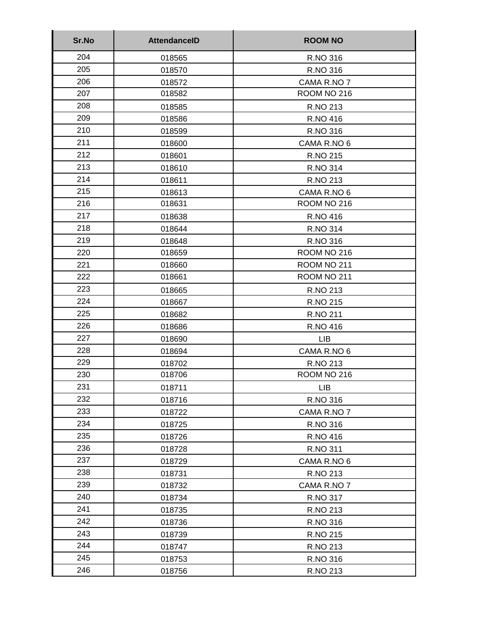| Sr.No | <b>AttendanceID</b> | <b>ROOM NO</b> |
|-------|---------------------|----------------|
| 204   | 018565              | R.NO 316       |
| 205   | 018570              | R.NO 316       |
| 206   | 018572              | CAMA R.NO 7    |
| 207   | 018582              | ROOM NO 216    |
| 208   | 018585              | R.NO 213       |
| 209   | 018586              | R.NO 416       |
| 210   | 018599              | R.NO 316       |
| 211   | 018600              | CAMA R.NO 6    |
| 212   | 018601              | R.NO 215       |
| 213   | 018610              | R.NO 314       |
| 214   | 018611              | R.NO 213       |
| 215   | 018613              | CAMA R.NO 6    |
| 216   | 018631              | ROOM NO 216    |
| 217   | 018638              | R.NO 416       |
| 218   | 018644              | R.NO 314       |
| 219   | 018648              | R.NO 316       |
| 220   | 018659              | ROOM NO 216    |
| 221   | 018660              | ROOM NO 211    |
| 222   | 018661              | ROOM NO 211    |
| 223   | 018665              | R.NO 213       |
| 224   | 018667              | R.NO 215       |
| 225   | 018682              | R.NO 211       |
| 226   | 018686              | R.NO 416       |
| 227   | 018690              | <b>LIB</b>     |
| 228   | 018694              | CAMA R.NO 6    |
| 229   | 018702              | R.NO 213       |
| 230   | 018706              | ROOM NO 216    |
| 231   | 018711              | I IB           |
| 232   | 018716              | R.NO 316       |
| 233   | 018722              | CAMA R.NO 7    |
| 234   | 018725              | R.NO 316       |
| 235   | 018726              | R.NO 416       |
| 236   | 018728              | R.NO 311       |
| 237   | 018729              | CAMA R.NO 6    |
| 238   | 018731              | R.NO 213       |
| 239   | 018732              | CAMA R.NO 7    |
| 240   | 018734              | R.NO 317       |
| 241   | 018735              | R.NO 213       |
| 242   | 018736              | R.NO 316       |
| 243   | 018739              | R.NO 215       |
| 244   | 018747              | R.NO 213       |
| 245   | 018753              | R.NO 316       |
| 246   | 018756              | R.NO 213       |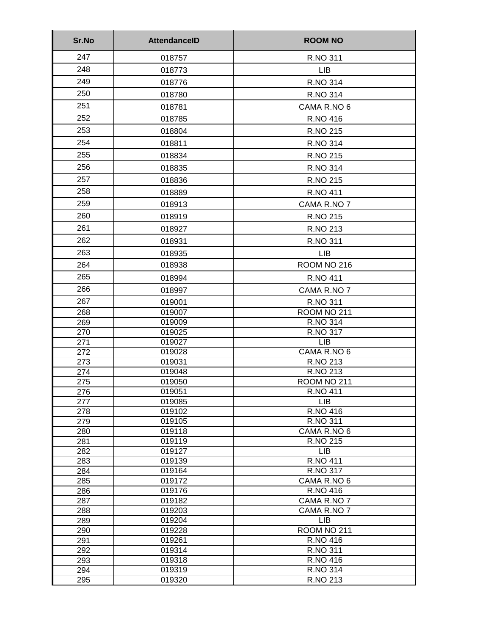| Sr.No      | <b>AttendanceID</b> | <b>ROOM NO</b>                |
|------------|---------------------|-------------------------------|
| 247        | 018757              | R.NO 311                      |
| 248        | 018773              | <b>LIB</b>                    |
| 249        | 018776              | R.NO 314                      |
| 250        | 018780              | R.NO 314                      |
| 251        |                     |                               |
|            | 018781              | CAMA R.NO 6                   |
| 252        | 018785              | R.NO 416                      |
| 253        | 018804              | R.NO 215                      |
| 254        | 018811              | <b>R.NO 314</b>               |
| 255        | 018834              | R.NO 215                      |
| 256        | 018835              | <b>R.NO 314</b>               |
| 257        | 018836              | R.NO 215                      |
| 258        | 018889              | R.NO 411                      |
| 259        | 018913              | CAMA R.NO 7                   |
| 260        | 018919              | R.NO 215                      |
| 261        |                     |                               |
|            | 018927              | R.NO 213                      |
| 262        | 018931              | R.NO 311                      |
| 263        | 018935              | <b>LIB</b>                    |
| 264        | 018938              | ROOM NO 216                   |
| 265        | 018994              | R.NO 411                      |
| 266        | 018997              | CAMA R.NO 7                   |
| 267        | 019001              | R.NO 311                      |
| 268        | 019007              | ROOM NO 211                   |
| 269        | 019009              | <b>R.NO 314</b>               |
| 270        | 019025              | R.NO 317                      |
| 271        | 019027              | <b>LIB</b>                    |
| 272        | 019028              | CAMA R.NO 6<br>R.NO 213       |
| 273<br>274 | 019031<br>019048    | R.NO 213                      |
| 275        | 019050              | ROOM NO 211                   |
| 276        | 019051              | R.NO 411                      |
| 277        | 019085              | <b>LIB</b>                    |
| 278        | 019102              | R.NO 416                      |
| 279        | 019105              | R.NO 311                      |
| 280        | 019118              | CAMA R.NO 6                   |
| 281        | 019119              | R.NO 215                      |
| 282<br>283 | 019127<br>019139    | <b>LIB</b><br><b>R.NO 411</b> |
| 284        | 019164              | R.NO 317                      |
| 285        | 019172              | CAMA R.NO 6                   |
| 286        | 019176              | R.NO 416                      |
| 287        | 019182              | CAMA R.NO 7                   |
| 288        | 019203              | CAMA R.NO 7                   |
| 289        | 019204              | <b>LIB</b>                    |
| 290        | 019228              | ROOM NO 211                   |
| 291        | 019261              | R.NO 416                      |
| 292<br>293 | 019314<br>019318    | R.NO 311<br>R.NO 416          |
| 294        | 019319              | R.NO 314                      |
| 295        | 019320              | R.NO 213                      |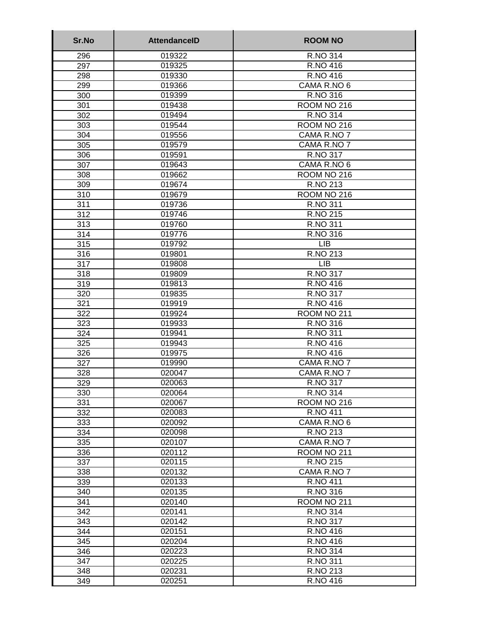| Sr.No | <b>AttendancelD</b> | <b>ROOM NO</b>  |
|-------|---------------------|-----------------|
| 296   | 019322              | R.NO 314        |
| 297   | 019325              | R.NO 416        |
| 298   | 019330              | R.NO 416        |
| 299   | 019366              | CAMA R.NO 6     |
| 300   | 019399              | R.NO 316        |
| 301   | 019438              | ROOM NO 216     |
| 302   | 019494              | <b>R.NO 314</b> |
| 303   | 019544              | ROOM NO 216     |
| 304   | 019556              | CAMA R.NO 7     |
| 305   | 019579              | CAMA R.NO 7     |
| 306   | 019591              | R.NO 317        |
| 307   | 019643              | CAMA R.NO 6     |
| 308   | 019662              | ROOM NO 216     |
| 309   | 019674              | R.NO 213        |
| 310   | 019679              | ROOM NO 216     |
| 311   | 019736              | R.NO 311        |
| 312   | 019746              | R.NO 215        |
| 313   | 019760              | R.NO 311        |
| 314   | 019776              | R.NO 316        |
| 315   | 019792              | <b>LIB</b>      |
| 316   | 019801              | R.NO 213        |
| 317   | 019808              | <b>LIB</b>      |
| 318   | 019809              | R.NO 317        |
| 319   | 019813              | R.NO 416        |
| 320   | 019835              | R.NO 317        |
| 321   | 019919              | R.NO 416        |
| 322   | 019924              | ROOM NO 211     |
| 323   | 019933              | R.NO 316        |
| 324   | 019941              | R.NO 311        |
| 325   | 019943              | R.NO 416        |
| 326   | 019975              | R.NO 416        |
| 327   | 019990              | CAMA R.NO 7     |
| 328   | 020047              | CAMA R.NO 7     |
| 329   | 020063              | R.NO 317        |
| 330   | 020064              | R.NO 314        |
| 331   | 020067              | ROOM NO 216     |
| 332   | 020083              | <b>R.NO 411</b> |
| 333   | 020092              | CAMA R.NO 6     |
| 334   | 020098              | R.NO 213        |
| 335   | 020107              | CAMA R.NO 7     |
| 336   | 020112              | ROOM NO 211     |
| 337   | 020115              | R.NO 215        |
| 338   | 020132              | CAMA R.NO 7     |
| 339   | 020133              | R.NO 411        |
| 340   | 020135              | R.NO 316        |
| 341   | 020140              | ROOM NO 211     |
| 342   | 020141              | R.NO 314        |
| 343   | 020142              | R.NO 317        |
| 344   | 020151              | R.NO 416        |
| 345   | 020204              | R.NO 416        |
| 346   | 020223              | R.NO 314        |
| 347   | 020225              | R.NO 311        |
| 348   | 020231              | R.NO 213        |
| 349   | 020251              | R.NO 416        |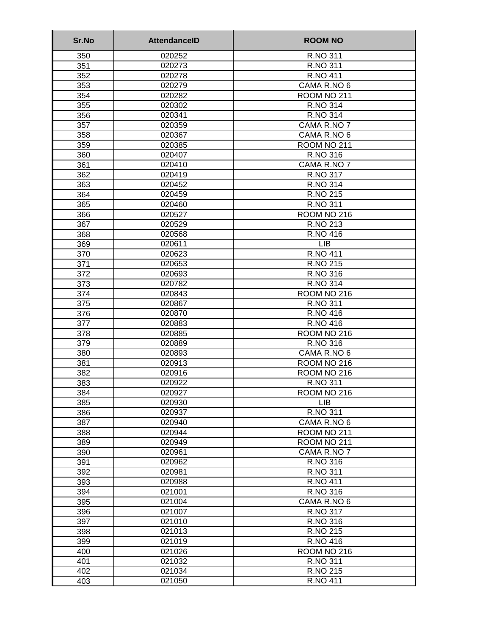| Sr.No            | <b>AttendanceID</b> | <b>ROOM NO</b>             |
|------------------|---------------------|----------------------------|
| 350              | 020252              | R.NO 311                   |
| 351              | 020273              | R.NO 311                   |
| 352              | 020278              | <b>R.NO 411</b>            |
| 353              | 020279              | CAMA R.NO 6                |
| 354              | 020282              | ROOM NO 211                |
| 355              | 020302              | R.NO 314                   |
| 356              | 020341              | R.NO 314                   |
| 357              | 020359              | CAMA R.NO 7                |
| 358              | 020367              | CAMA R.NO 6                |
| 359              | 020385              | ROOM NO 211                |
| 360              | 020407              | R.NO 316                   |
| 361              | 020410              | CAMA R.NO 7                |
| 362              | 020419              | R.NO 317                   |
| 363              | 020452              | R.NO 314                   |
| 364              | 020459              | R.NO 215                   |
| 365              | 020460              | R.NO 311                   |
| 366              | 020527              | ROOM NO 216                |
| 367              | 020529              | <b>R.NO 213</b>            |
| 368              | 020568              | R.NO 416                   |
| 369              | 020611              | <b>LIB</b>                 |
| 370              | 020623              | <b>R.NO 411</b>            |
| 371              | 020653              | R.NO 215                   |
| $\overline{372}$ | 020693              | R.NO 316                   |
| 373              | 020782              | <b>R.NO 314</b>            |
| 374              | 020843              | ROOM NO 216                |
| 375              | 020867              | R.NO 311                   |
| 376              | 020870              | R.NO 416                   |
| 377              | 020883              | R.NO 416                   |
| 378              | 020885              | ROOM NO 216                |
| 379              | 020889              | R.NO 316                   |
| 380              | 020893              | CAMA R.NO 6                |
| 381              | 020913              | ROOM NO 216                |
| 382              | 020916              | ROOM NO 216                |
| 383              | 020922              | R.NO 311                   |
| 384              | 020927              | ROOM NO 216                |
| 385              | 020930              | <b>LIB</b>                 |
| 386              | 020937              | R.NO 311                   |
| 387<br>388       | 020940              | CAMA R.NO 6                |
| 389              | 020944<br>020949    | ROOM NO 211<br>ROOM NO 211 |
| 390              | 020961              | CAMA R.NO 7                |
| 391              | 020962              | R.NO 316                   |
| 392              | 020981              | R.NO 311                   |
| 393              | 020988              | <b>R.NO 411</b>            |
| 394              | 021001              | R.NO 316                   |
| 395              | 021004              | CAMA R.NO 6                |
| 396              | 021007              | R.NO 317                   |
| 397              | 021010              | R.NO 316                   |
| 398              | 021013              | R.NO 215                   |
| 399              | 021019              | R.NO 416                   |
| 400              | 021026              | ROOM NO 216                |
| 401              | 021032              | R.NO 311                   |
| 402              | 021034              | R.NO 215                   |
| 403              | 021050              | R.NO 411                   |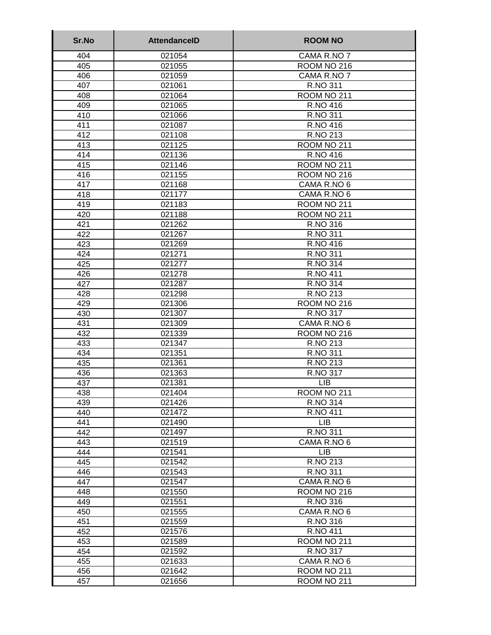| Sr.No      | <b>AttendanceID</b> | <b>ROOM NO</b>       |
|------------|---------------------|----------------------|
| 404        | 021054              | CAMA R.NO 7          |
| 405        | 021055              | ROOM NO 216          |
| 406        | 021059              | CAMA R.NO 7          |
| 407        | 021061              | R.NO 311             |
| 408        | 021064              | ROOM NO 211          |
| 409        | 021065              | <b>R.NO 416</b>      |
| 410        | 021066              | R.NO 311             |
| 411        | 021087              | R.NO 416             |
| 412        | 021108              | R.NO 213             |
| 413        | 021125              | ROOM NO 211          |
| 414        | 021136              | R.NO 416             |
| 415        | 021146              | ROOM NO 211          |
| 416        | 021155              | ROOM NO 216          |
| 417        | 021168              | CAMA R.NO 6          |
| 418        | 021177              | CAMA R.NO 6          |
| 419        | 021183              | ROOM NO 211          |
| 420        | 021188              | ROOM NO 211          |
| 421        | 021262              | R.NO 316             |
| 422        | 021267              | R.NO 311             |
| 423        | 021269              | R.NO 416             |
| 424        | 021271              | R.NO 311             |
| 425        | 021277              | <b>R.NO 314</b>      |
| 426        | 021278              | <b>R.NO 411</b>      |
| 427        | 021287              | R.NO 314             |
| 428        | 021298              | R.NO 213             |
| 429        | 021306              | ROOM NO 216          |
| 430        | 021307              | <b>R.NO 317</b>      |
| 431        | 021309              | CAMA R.NO 6          |
| 432        | 021339              | <b>ROOM NO 216</b>   |
| 433        | 021347<br>021351    | R.NO 213             |
| 434        |                     | R.NO 311             |
| 435        | 021361<br>021363    | R.NO 213<br>R.NO 317 |
| 436<br>437 | 021381              | <b>LIB</b>           |
| 438        | 021404              | ROOM NO 211          |
| 439        | 021426              | <b>R.NO 314</b>      |
| 440        | 021472              | <b>R.NO 411</b>      |
| 441        | 021490              | <b>LIB</b>           |
| 442        | 021497              | R.NO 311             |
| 443        | 021519              | CAMA R.NO 6          |
| 444        | 021541              | <b>LIB</b>           |
| 445        | 021542              | R.NO 213             |
| 446        | 021543              | R.NO 311             |
| 447        | 021547              | CAMA R.NO 6          |
| 448        | 021550              | ROOM NO 216          |
| 449        | 021551              | R.NO 316             |
| 450        | 021555              | CAMA R.NO 6          |
| 451        | 021559              | R.NO 316             |
| 452        | 021576              | R.NO 411             |
| 453        | 021589              | ROOM NO 211          |
| 454        | 021592              | R.NO 317             |
| 455        | 021633              | CAMA R.NO 6          |
| 456        | 021642              | ROOM NO 211          |
| 457        | 021656              | ROOM NO 211          |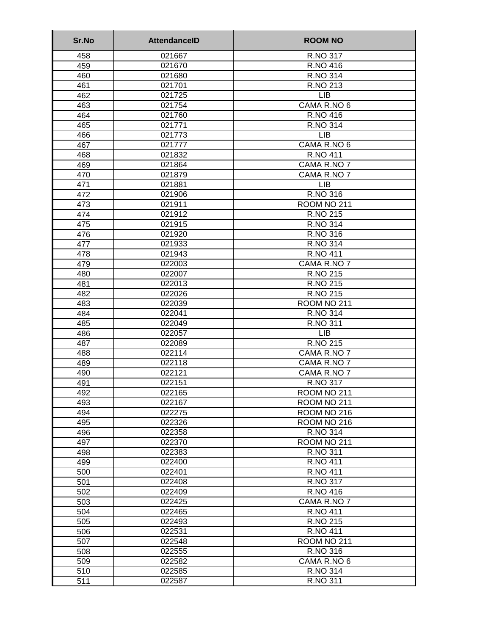| Sr.No      | <b>AttendanceID</b> | <b>ROOM NO</b>          |
|------------|---------------------|-------------------------|
| 458        | 021667              | R.NO 317                |
| 459        | 021670              | R.NO 416                |
| 460        | 021680              | R.NO 314                |
| 461        | 021701              | R.NO 213                |
| 462        | 021725              | <b>LIB</b>              |
| 463        | 021754              | CAMA R.NO 6             |
| 464        | 021760              | <b>R.NO 416</b>         |
| 465        | 021771              | <b>R.NO 314</b>         |
| 466        | 021773              | <b>LIB</b>              |
| 467        | 021777              | CAMA R.NO 6             |
| 468        | 021832              | <b>R.NO 411</b>         |
| 469        | 021864              | CAMA R.NO 7             |
| 470        | 021879              | CAMA R.NO 7             |
| 471        | 021881              | <b>LIB</b>              |
| 472        | 021906              | R.NO 316                |
| 473        | 021911              | ROOM NO 211             |
| 474        | 021912              | R.NO 215                |
| 475        | 021915              | R.NO 314                |
| 476        | 021920              | R.NO 316                |
| 477        | 021933              | R.NO 314                |
| 478        | 021943              | R.NO 411                |
| 479        | 022003              | CAMA R.NO 7             |
| 480        | 022007              | R.NO 215                |
| 481        | 022013              | R.NO 215                |
| 482<br>483 | 022026              | R.NO 215<br>ROOM NO 211 |
| 484        | 022039<br>022041    | R.NO 314                |
| 485        | 022049              | R.NO 311                |
| 486        | 022057              | <b>LIB</b>              |
| 487        | 022089              | R.NO 215                |
| 488        | 022114              | CAMA R.NO 7             |
| 489        | 022118              | CAMA R.NO 7             |
| 490        | 022121              | CAMA R.NO 7             |
| 491        | 022151              | R.NO 317                |
| 492        | 022165              | ROOM NO 211             |
| 493        | 022167              | ROOM NO 211             |
| 494        | 022275              | ROOM NO 216             |
| 495        | 022326              | ROOM NO 216             |
| 496        | 022358              | R.NO 314                |
| 497        | 022370              | ROOM NO 211             |
| 498        | 022383              | R.NO 311                |
| 499        | 022400              | R.NO 411                |
| 500        | 022401              | <b>R.NO 411</b>         |
| 501        | 022408              | R.NO 317                |
| 502        | 022409              | R.NO 416                |
| 503        | 022425              | CAMA R.NO 7             |
| 504        | 022465              | <b>R.NO 411</b>         |
| 505        | 022493              | R.NO 215                |
| 506        | 022531              | R.NO 411                |
| 507        | 022548              | ROOM NO 211             |
| 508        | 022555              | R.NO 316                |
| 509        | 022582              | CAMA R.NO 6             |
| 510        | 022585              | R.NO 314                |
| 511        | 022587              | R.NO 311                |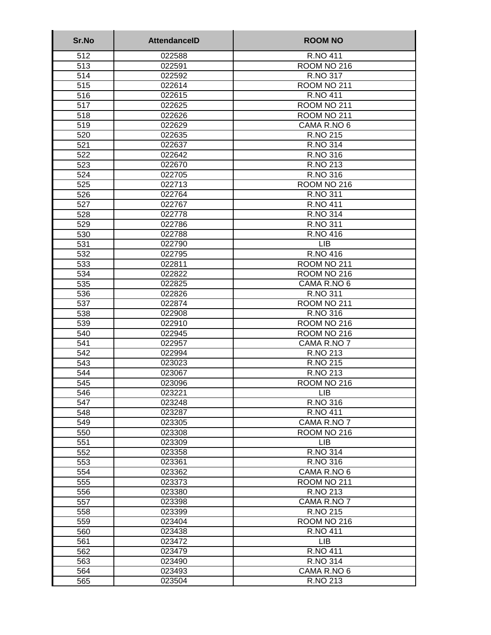| Sr.No      | <b>AttendanceID</b> | <b>ROOM NO</b>         |
|------------|---------------------|------------------------|
| 512        | 022588              | R.NO 411               |
| 513        | 022591              | ROOM NO 216            |
| 514        | 022592              | R.NO 317               |
| 515        | 022614              | ROOM NO 211            |
| 516        | 022615              | <b>R.NO 411</b>        |
| 517        | 022625              | ROOM NO 211            |
| 518        | 022626              | ROOM NO 211            |
| 519        | 022629              | CAMA R.NO 6            |
| 520        | 022635              | R.NO 215               |
| 521        | 022637              | <b>R.NO 314</b>        |
| 522        | 022642              | R.NO 316               |
| 523        | 022670              | R.NO 213               |
| 524        | 022705              | R.NO 316               |
| 525        | 022713              | ROOM NO 216            |
| 526        | 022764              | R.NO 311               |
| 527        | 022767              | R.NO 411               |
| 528        | 022778              | R.NO 314               |
| 529        | 022786              | R.NO 311               |
| 530        | 022788              | R.NO 416               |
| 531        | 022790              | <b>LIB</b>             |
| 532        | 022795              | R.NO 416               |
| 533        | 022811              | ROOM NO 211            |
| 534        | 022822              | ROOM NO 216            |
| 535        | 022825              | CAMA R.NO 6            |
| 536        | 022826              | R.NO 311               |
| 537        | 022874              | ROOM NO 211            |
| 538        | 022908              | R.NO 316               |
| 539        | 022910              | ROOM NO 216            |
| 540        | 022945              | ROOM NO 216            |
| 541        | 022957              | CAMA R.NO 7            |
| 542        | 022994              | R.NO 213               |
| 543        | 023023              | R.NO 215               |
| 544        | 023067              | R.NO 213               |
| 545        | 023096              | ROOM NO 216            |
| 546        | 023221              | <b>LIB</b><br>R.NO 316 |
| 547        | 023248              | <b>R.NO 411</b>        |
| 548<br>549 | 023287<br>023305    | CAMA R.NO 7            |
| 550        | 023308              | ROOM NO 216            |
| 551        | 023309              | <b>LIB</b>             |
| 552        | 023358              | R.NO 314               |
| 553        | 023361              | R.NO 316               |
| 554        | 023362              | CAMA R.NO 6            |
| 555        | 023373              | ROOM NO 211            |
| 556        | 023380              | R.NO 213               |
| 557        | 023398              | CAMA R.NO 7            |
| 558        | 023399              | R.NO 215               |
| 559        | 023404              | ROOM NO 216            |
| 560        | 023438              | R.NO 411               |
| 561        | 023472              | <b>LIB</b>             |
| 562        | 023479              | R.NO 411               |
| 563        | 023490              | R.NO 314               |
| 564        | 023493              | CAMA R.NO 6            |
| 565        | 023504              | R.NO 213               |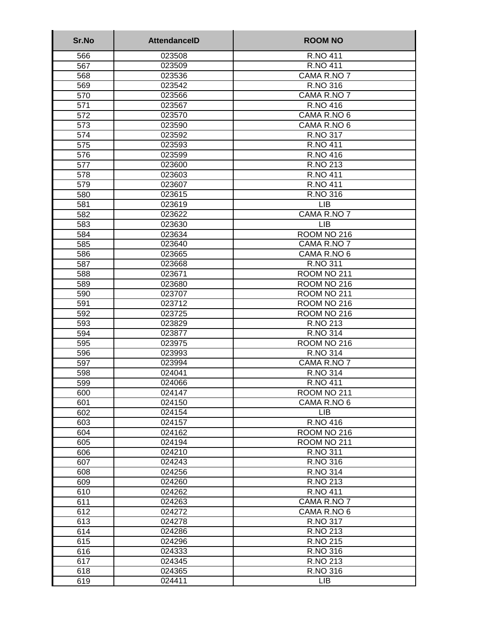| 566<br>023508<br>R.NO 411<br>567<br>023509<br><b>R.NO 411</b><br>CAMA R.NO 7<br>023536<br>568<br>R.NO 316<br>023542<br>569<br>CAMA R.NO 7<br>570<br>023566<br><b>R.NO 416</b><br>571<br>023567<br>572<br>023570<br>CAMA R.NO 6<br>573<br>023590<br>CAMA R.NO 6<br>023592<br>R.NO 317<br>574<br><b>R.NO 411</b><br>575<br>023593<br>R.NO 416<br>576<br>023599<br>577<br>R.NO 213<br>023600<br>578<br><b>R.NO 411</b><br>023603<br>579<br><b>R.NO 411</b><br>023607<br>R.NO 316<br>580<br>023615<br><b>LIB</b><br>581<br>023619<br>CAMA R.NO 7<br>582<br>023622<br><b>LIB</b><br>583<br>023630<br>584<br>ROOM NO 216<br>023634<br>CAMA R.NO 7<br>585<br>023640<br>586<br>CAMA R.NO 6<br>023665<br>587<br>R.NO 311<br>023668<br>588<br>023671<br>ROOM NO 211<br>589<br>ROOM NO 216<br>023680<br>590<br>ROOM NO 211<br>023707 | Sr.No | <b>AttendanceID</b> | <b>ROOM NO</b> |
|---------------------------------------------------------------------------------------------------------------------------------------------------------------------------------------------------------------------------------------------------------------------------------------------------------------------------------------------------------------------------------------------------------------------------------------------------------------------------------------------------------------------------------------------------------------------------------------------------------------------------------------------------------------------------------------------------------------------------------------------------------------------------------------------------------------------------|-------|---------------------|----------------|
|                                                                                                                                                                                                                                                                                                                                                                                                                                                                                                                                                                                                                                                                                                                                                                                                                           |       |                     |                |
|                                                                                                                                                                                                                                                                                                                                                                                                                                                                                                                                                                                                                                                                                                                                                                                                                           |       |                     |                |
|                                                                                                                                                                                                                                                                                                                                                                                                                                                                                                                                                                                                                                                                                                                                                                                                                           |       |                     |                |
|                                                                                                                                                                                                                                                                                                                                                                                                                                                                                                                                                                                                                                                                                                                                                                                                                           |       |                     |                |
|                                                                                                                                                                                                                                                                                                                                                                                                                                                                                                                                                                                                                                                                                                                                                                                                                           |       |                     |                |
|                                                                                                                                                                                                                                                                                                                                                                                                                                                                                                                                                                                                                                                                                                                                                                                                                           |       |                     |                |
|                                                                                                                                                                                                                                                                                                                                                                                                                                                                                                                                                                                                                                                                                                                                                                                                                           |       |                     |                |
|                                                                                                                                                                                                                                                                                                                                                                                                                                                                                                                                                                                                                                                                                                                                                                                                                           |       |                     |                |
|                                                                                                                                                                                                                                                                                                                                                                                                                                                                                                                                                                                                                                                                                                                                                                                                                           |       |                     |                |
|                                                                                                                                                                                                                                                                                                                                                                                                                                                                                                                                                                                                                                                                                                                                                                                                                           |       |                     |                |
|                                                                                                                                                                                                                                                                                                                                                                                                                                                                                                                                                                                                                                                                                                                                                                                                                           |       |                     |                |
|                                                                                                                                                                                                                                                                                                                                                                                                                                                                                                                                                                                                                                                                                                                                                                                                                           |       |                     |                |
|                                                                                                                                                                                                                                                                                                                                                                                                                                                                                                                                                                                                                                                                                                                                                                                                                           |       |                     |                |
|                                                                                                                                                                                                                                                                                                                                                                                                                                                                                                                                                                                                                                                                                                                                                                                                                           |       |                     |                |
|                                                                                                                                                                                                                                                                                                                                                                                                                                                                                                                                                                                                                                                                                                                                                                                                                           |       |                     |                |
|                                                                                                                                                                                                                                                                                                                                                                                                                                                                                                                                                                                                                                                                                                                                                                                                                           |       |                     |                |
|                                                                                                                                                                                                                                                                                                                                                                                                                                                                                                                                                                                                                                                                                                                                                                                                                           |       |                     |                |
|                                                                                                                                                                                                                                                                                                                                                                                                                                                                                                                                                                                                                                                                                                                                                                                                                           |       |                     |                |
|                                                                                                                                                                                                                                                                                                                                                                                                                                                                                                                                                                                                                                                                                                                                                                                                                           |       |                     |                |
|                                                                                                                                                                                                                                                                                                                                                                                                                                                                                                                                                                                                                                                                                                                                                                                                                           |       |                     |                |
|                                                                                                                                                                                                                                                                                                                                                                                                                                                                                                                                                                                                                                                                                                                                                                                                                           |       |                     |                |
|                                                                                                                                                                                                                                                                                                                                                                                                                                                                                                                                                                                                                                                                                                                                                                                                                           |       |                     |                |
|                                                                                                                                                                                                                                                                                                                                                                                                                                                                                                                                                                                                                                                                                                                                                                                                                           |       |                     |                |
|                                                                                                                                                                                                                                                                                                                                                                                                                                                                                                                                                                                                                                                                                                                                                                                                                           |       |                     |                |
|                                                                                                                                                                                                                                                                                                                                                                                                                                                                                                                                                                                                                                                                                                                                                                                                                           |       |                     |                |
| 591<br>023712<br>ROOM NO 216                                                                                                                                                                                                                                                                                                                                                                                                                                                                                                                                                                                                                                                                                                                                                                                              |       |                     |                |
| 592<br>023725<br>ROOM NO 216                                                                                                                                                                                                                                                                                                                                                                                                                                                                                                                                                                                                                                                                                                                                                                                              |       |                     |                |
| R.NO 213<br>593<br>023829                                                                                                                                                                                                                                                                                                                                                                                                                                                                                                                                                                                                                                                                                                                                                                                                 |       |                     |                |
| R.NO 314<br>594<br>023877                                                                                                                                                                                                                                                                                                                                                                                                                                                                                                                                                                                                                                                                                                                                                                                                 |       |                     |                |
| 595<br>ROOM NO 216<br>023975                                                                                                                                                                                                                                                                                                                                                                                                                                                                                                                                                                                                                                                                                                                                                                                              |       |                     |                |
| <b>R.NO 314</b><br>596<br>023993                                                                                                                                                                                                                                                                                                                                                                                                                                                                                                                                                                                                                                                                                                                                                                                          |       |                     |                |
| 597<br>023994<br>CAMA R.NO 7<br>024041                                                                                                                                                                                                                                                                                                                                                                                                                                                                                                                                                                                                                                                                                                                                                                                    |       |                     |                |
| 598<br>R.NO 314                                                                                                                                                                                                                                                                                                                                                                                                                                                                                                                                                                                                                                                                                                                                                                                                           |       |                     |                |
| 024066<br>R.NO 411<br>599                                                                                                                                                                                                                                                                                                                                                                                                                                                                                                                                                                                                                                                                                                                                                                                                 |       |                     |                |
| 600<br>024147<br>ROOM NO 211<br>CAMA R.NO 6<br>024150                                                                                                                                                                                                                                                                                                                                                                                                                                                                                                                                                                                                                                                                                                                                                                     |       |                     |                |
| 601<br><b>LIB</b><br>024154<br>602                                                                                                                                                                                                                                                                                                                                                                                                                                                                                                                                                                                                                                                                                                                                                                                        |       |                     |                |
| 024157<br>R.NO 416<br>603                                                                                                                                                                                                                                                                                                                                                                                                                                                                                                                                                                                                                                                                                                                                                                                                 |       |                     |                |
| 604<br>024162<br>ROOM NO 216                                                                                                                                                                                                                                                                                                                                                                                                                                                                                                                                                                                                                                                                                                                                                                                              |       |                     |                |
| 605<br>024194<br>ROOM NO 211                                                                                                                                                                                                                                                                                                                                                                                                                                                                                                                                                                                                                                                                                                                                                                                              |       |                     |                |
| R.NO 311<br>024210<br>606                                                                                                                                                                                                                                                                                                                                                                                                                                                                                                                                                                                                                                                                                                                                                                                                 |       |                     |                |
| 024243<br>R.NO 316<br>607                                                                                                                                                                                                                                                                                                                                                                                                                                                                                                                                                                                                                                                                                                                                                                                                 |       |                     |                |
| 024256<br>R.NO 314<br>608                                                                                                                                                                                                                                                                                                                                                                                                                                                                                                                                                                                                                                                                                                                                                                                                 |       |                     |                |
| R.NO 213<br>609<br>024260                                                                                                                                                                                                                                                                                                                                                                                                                                                                                                                                                                                                                                                                                                                                                                                                 |       |                     |                |
| 610<br>024262<br><b>R.NO 411</b>                                                                                                                                                                                                                                                                                                                                                                                                                                                                                                                                                                                                                                                                                                                                                                                          |       |                     |                |
| 611<br>CAMA R.NO 7<br>024263                                                                                                                                                                                                                                                                                                                                                                                                                                                                                                                                                                                                                                                                                                                                                                                              |       |                     |                |
| 612<br>024272<br>CAMA R.NO 6                                                                                                                                                                                                                                                                                                                                                                                                                                                                                                                                                                                                                                                                                                                                                                                              |       |                     |                |
| 613<br>024278<br>R.NO 317                                                                                                                                                                                                                                                                                                                                                                                                                                                                                                                                                                                                                                                                                                                                                                                                 |       |                     |                |
| 614<br>R.NO 213<br>024286                                                                                                                                                                                                                                                                                                                                                                                                                                                                                                                                                                                                                                                                                                                                                                                                 |       |                     |                |
| 615<br>024296<br>R.NO 215                                                                                                                                                                                                                                                                                                                                                                                                                                                                                                                                                                                                                                                                                                                                                                                                 |       |                     |                |
| 616<br>024333<br>R.NO 316                                                                                                                                                                                                                                                                                                                                                                                                                                                                                                                                                                                                                                                                                                                                                                                                 |       |                     |                |
| 617<br>024345<br>R.NO 213                                                                                                                                                                                                                                                                                                                                                                                                                                                                                                                                                                                                                                                                                                                                                                                                 |       |                     |                |
| R.NO 316<br>024365<br>618                                                                                                                                                                                                                                                                                                                                                                                                                                                                                                                                                                                                                                                                                                                                                                                                 |       |                     |                |
| LIB<br>024411<br>619                                                                                                                                                                                                                                                                                                                                                                                                                                                                                                                                                                                                                                                                                                                                                                                                      |       |                     |                |